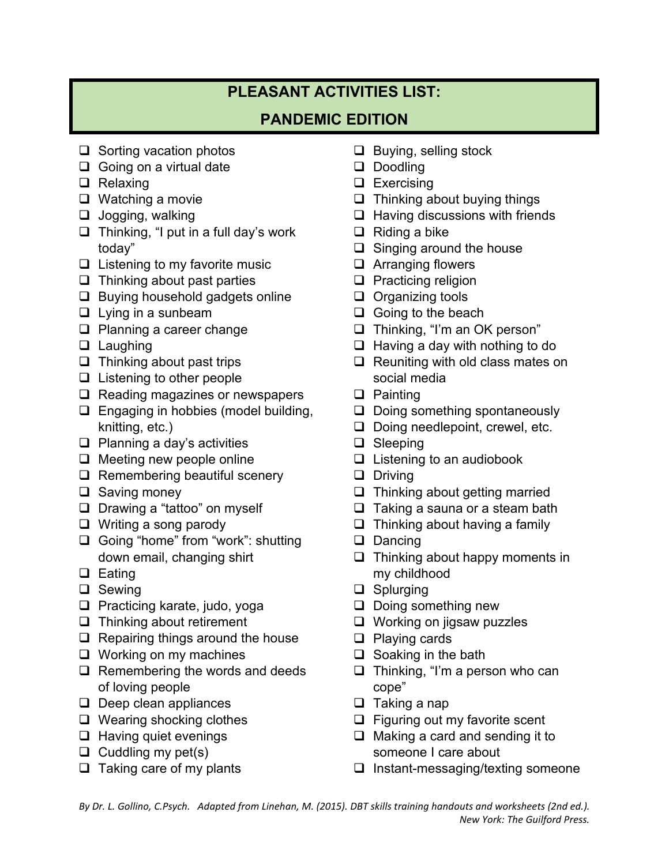## **PLEASANT ACTIVITIES LIST:**

## **PANDEMIC EDITION**

- $\Box$  Sorting vacation photos
- $\Box$  Going on a virtual date
- **Q** Relaxing
- □ Watching a movie
- $\Box$  Jogging, walking
- $\Box$  Thinking, "I put in a full day's work today"
- $\Box$  Listening to my favorite music
- $\Box$  Thinking about past parties
- $\Box$  Buying household gadgets online
- $\Box$  Lying in a sunbeam
- **Q** Planning a career change
- □ Laughing
- $\Box$  Thinking about past trips
- $\Box$  Listening to other people
- $\Box$  Reading magazines or newspapers
- **Engaging in hobbies (model building,** knitting, etc.)
- $\Box$  Planning a day's activities
- □ Meeting new people online
- $\Box$  Remembering beautiful scenery
- $\square$  Saving money
- Drawing a "tattoo" on myself
- □ Writing a song parody
- □ Going "home" from "work": shutting down email, changing shirt
- $\Box$  Eating
- □ Sewing
- **Q** Practicing karate, judo, yoga
- **Thinking about retirement**
- $\Box$  Repairing things around the house
- □ Working on my machines
- Remembering the words and deeds of loving people
- $\Box$  Deep clean appliances
- □ Wearing shocking clothes
- $\Box$  Having quiet evenings
- $\Box$  Cuddling my pet(s)
- $\Box$  Taking care of my plants
- $\Box$  Buying, selling stock
- Doodling
- □ Exercising
- $\Box$  Thinking about buying things
- $\Box$  Having discussions with friends
- $\Box$  Riding a bike
- $\Box$  Singing around the house
- □ Arranging flowers
- $\Box$  Practicing religion
- $\Box$  Organizing tools
- $\Box$  Going to the beach
- □ Thinking, "I'm an OK person"
- $\Box$  Having a day with nothing to do
- $\Box$  Reuniting with old class mates on social media
- □ Painting
- D Doing something spontaneously
- Doing needlepoint, crewel, etc.
- □ Sleeping
- $\Box$  Listening to an audiobook
- **D** Driving
- $\Box$  Thinking about getting married
- $\Box$  Taking a sauna or a steam bath
- $\Box$  Thinking about having a family
- Dancing
- $\Box$  Thinking about happy moments in my childhood
- □ Splurging
- D Doing something new
- □ Working on jigsaw puzzles
- □ Playing cards
- $\Box$  Soaking in the bath
- □ Thinking, "I'm a person who can cope"
- $\Box$  Taking a nap
- $\Box$  Figuring out my favorite scent
- $\Box$  Making a card and sending it to someone I care about
- $\Box$  Instant-messaging/texting someone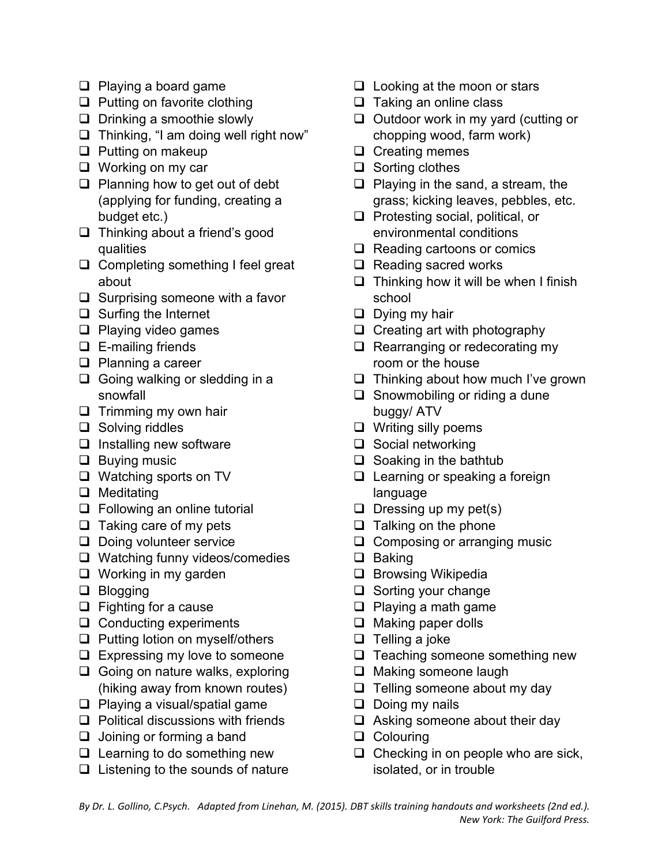- □ Playing a board game
- $\Box$  Putting on favorite clothing
- □ Drinking a smoothie slowly
- $\Box$  Thinking, "I am doing well right now"
- $\Box$  Putting on makeup
- □ Working on my car
- □ Planning how to get out of debt (applying for funding, creating a budget etc.)
- □ Thinking about a friend's good qualities
- $\Box$  Completing something I feel great about
- $\Box$  Surprising someone with a favor
- □ Surfing the Internet
- $\Box$  Playing video games
- $\Box$  E-mailing friends
- **D** Planning a career
- $\Box$  Going walking or sledding in a snowfall
- $\Box$  Trimming my own hair
- $\Box$  Solving riddles
- $\Box$  Installing new software
- $\Box$  Buying music
- □ Watching sports on TV
- $\Box$  Meditating
- □ Following an online tutorial
- $\Box$  Taking care of my pets
- Doing volunteer service
- □ Watching funny videos/comedies
- **Q** Working in my garden
- □ Blogging
- $\Box$  Fighting for a cause
- □ Conducting experiments
- **Q** Putting lotion on myself/others
- $\Box$  Expressing my love to someone
- Going on nature walks, exploring (hiking away from known routes)
- $\Box$  Playing a visual/spatial game
- $\Box$  Political discussions with friends
- $\Box$  Joining or forming a band
- $\Box$  Learning to do something new
- $\Box$  Listening to the sounds of nature
- $\Box$  Looking at the moon or stars
- $\Box$  Taking an online class
- $\Box$  Outdoor work in my yard (cutting or chopping wood, farm work)
- $\Box$  Creating memes
- $\Box$  Sorting clothes
- $\Box$  Playing in the sand, a stream, the grass; kicking leaves, pebbles, etc.
- $\Box$  Protesting social, political, or environmental conditions
- $\Box$  Reading cartoons or comics
- $\Box$  Reading sacred works
- $\Box$  Thinking how it will be when I finish school
- $\Box$  Dying my hair
- $\Box$  Creating art with photography
- Rearranging or redecorating my room or the house
- $\Box$  Thinking about how much I've grown
- $\Box$  Snowmobiling or riding a dune buggy/ ATV
- $\Box$  Writing silly poems
- $\Box$  Social networking
- $\Box$  Soaking in the bathtub
- □ Learning or speaking a foreign language
- $\Box$  Dressing up my pet(s)
- $\Box$  Talking on the phone
- □ Composing or arranging music
- $\Box$  Baking
- $\Box$  Browsing Wikipedia
- □ Sorting your change
- $\Box$  Playing a math game
- □ Making paper dolls
- $\Box$  Telling a joke
- **Q** Teaching someone something new
- □ Making someone laugh
- $\Box$  Telling someone about my day
- $\Box$  Doing my nails
- □ Asking someone about their day
- □ Colouring
- $\Box$  Checking in on people who are sick, isolated, or in trouble